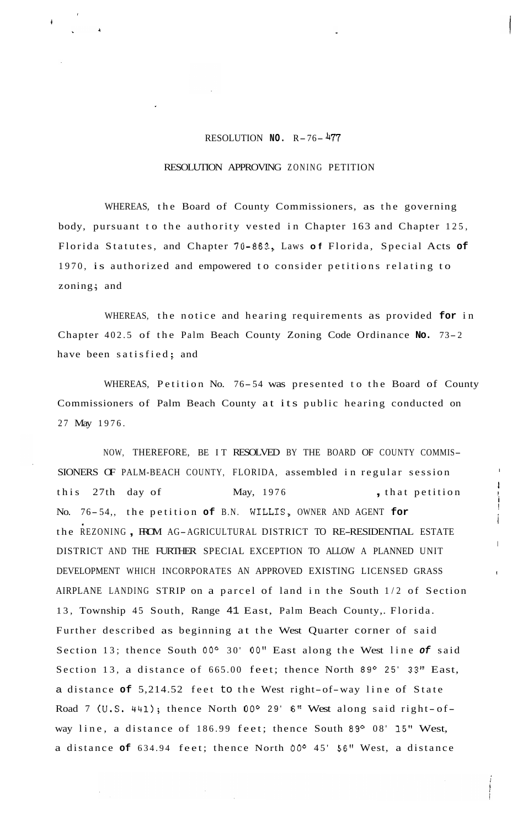## RESOLUTION **NO.** R-76- **<sup>477</sup>**

*I* 

**4** 

## RESOLUTION APPROVING ZONING PETITION

WHEREAS, the Board of County Commissioners, as the governing body, pursuant to the authority vested in Chapter 163 and Chapter 125, Florida Statutes, and Chapter 70-863., Laws **of** Florida, Special Acts **of**  1970, is authorized and empowered to consider petitions relating to zoning; and

WHEREAS, the notice and hearing requirements as provided **for** in Chapter 402.5 of the Palm Beach County Zoning Code Ordinance **No.** 73- <sup>2</sup> have been satisfied; and

WHEREAS, Petition No. 76-54 was presented to the Board of County Commissioners of Palm Beach County at its public hearing conducted on 27 May 1976.

i

i

i

I

NOW, THEREFORE, BE IT RESOLVED BY THE BOARD OF COUNTY COMMIS-SIONERS OF PALM-BEACH COUNTY, FLORIDA, assembled in regular session this 27th day of May, 1976 , that petition No. 76-54,, the petition of B.N. WILLIS, OWNER AND AGENT for the REZONING , FROM AG-AGRICULTURAL DISTRICT TO RE-RESIDENTIAL ESTATE DISTRICT AND THE FURTHER SPECIAL EXCEPTION TO ALLOW A PLANNED UNIT DEVELOPMENT WHICH INCORPORATES AN APPROVED EXISTING LICENSED GRASS AIRPLANE LANDING STRIP on a parcel of land in the South 1/2 of Section 13, Township 45 South, Range 41 East, Palm Beach County,. Florida. Further described as beginning at the West Quarter corner of said Section 13; thence South **OOo** 30' 00" East along the West line *of* said Section 13, a distance of 665.00 feet; thence North 89° 25' 33" East, <sup>a</sup>distance **of** 5,214.52 feet to the West right-of-way line of State Road 7 (U.S. 441); thence North 00° 29' 6" West along said right-ofway line, a distance of 186.99 feet; thence South 89° 08' 15" West, a distance **of** 634.94 feet; thence North **OOo** 45' **56"** West, a distance